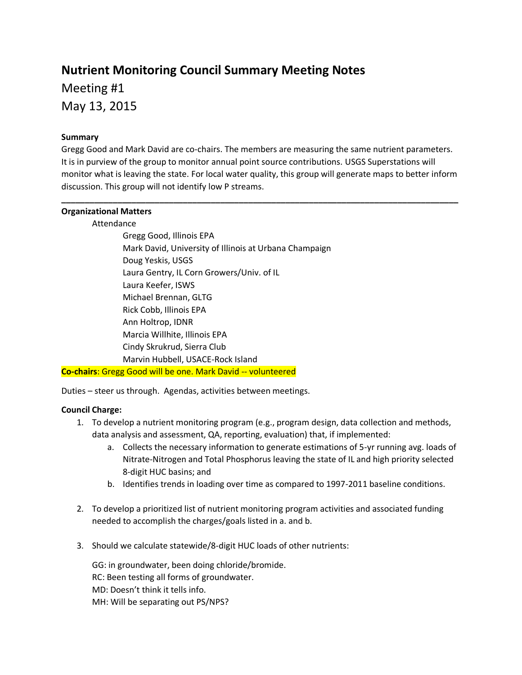# **Nutrient Monitoring Council Summary Meeting Notes** Meeting #1 May 13, 2015

### **Summary**

Gregg Good and Mark David are co-chairs. The members are measuring the same nutrient parameters. It is in purview of the group to monitor annual point source contributions. USGS Superstations will monitor what is leaving the state. For local water quality, this group will generate maps to better inform discussion. This group will not identify low P streams.

**\_\_\_\_\_\_\_\_\_\_\_\_\_\_\_\_\_\_\_\_\_\_\_\_\_\_\_\_\_\_\_\_\_\_\_\_\_\_\_\_\_\_\_\_\_\_\_\_\_\_\_\_\_\_\_\_\_\_\_\_\_\_\_\_\_\_\_\_\_\_\_\_\_\_\_\_\_\_\_\_\_\_\_\_\_**

#### **Organizational Matters**

Attendance

Gregg Good, Illinois EPA Mark David, University of Illinois at Urbana Champaign Doug Yeskis, USGS Laura Gentry, IL Corn Growers/Univ. of IL Laura Keefer, ISWS Michael Brennan, GLTG Rick Cobb, Illinois EPA Ann Holtrop, IDNR Marcia Willhite, Illinois EPA Cindy Skrukrud, Sierra Club Marvin Hubbell, USACE-Rock Island

**Co-chairs**: Gregg Good will be one. Mark David -- volunteered

Duties – steer us through. Agendas, activities between meetings.

# **Council Charge:**

- 1. To develop a nutrient monitoring program (e.g., program design, data collection and methods, data analysis and assessment, QA, reporting, evaluation) that, if implemented:
	- a. Collects the necessary information to generate estimations of 5-yr running avg. loads of Nitrate-Nitrogen and Total Phosphorus leaving the state of IL and high priority selected 8-digit HUC basins; and
	- b. Identifies trends in loading over time as compared to 1997-2011 baseline conditions.
- 2. To develop a prioritized list of nutrient monitoring program activities and associated funding needed to accomplish the charges/goals listed in a. and b.
- 3. Should we calculate statewide/8-digit HUC loads of other nutrients:

GG: in groundwater, been doing chloride/bromide. RC: Been testing all forms of groundwater. MD: Doesn't think it tells info. MH: Will be separating out PS/NPS?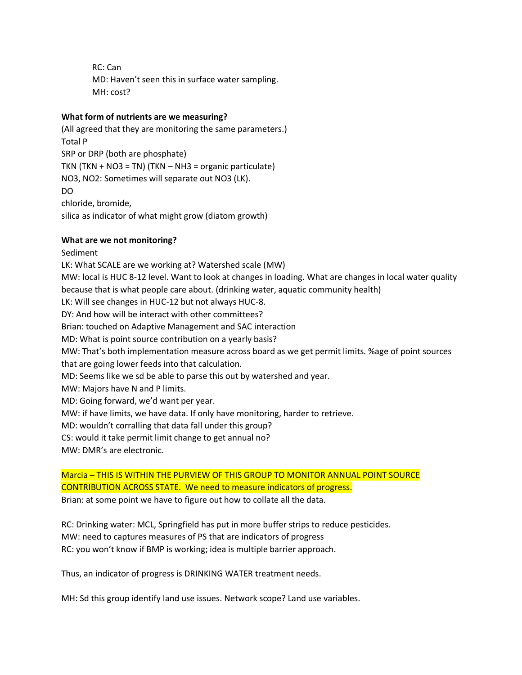RC: Can MD: Haven't seen this in surface water sampling. MH: cost?

# **What form of nutrients are we measuring?**

(All agreed that they are monitoring the same parameters.) Total P SRP or DRP (both are phosphate) TKN (TKN + NO3 = TN) (TKN – NH3 = organic particulate) NO3, NO2: Sometimes will separate out NO3 (LK). DO chloride, bromide, silica as indicator of what might grow (diatom growth)

# **What are we not monitoring?**

Sediment LK: What SCALE are we working at? Watershed scale (MW) MW: local is HUC 8-12 level. Want to look at changes in loading. What are changes in local water quality because that is what people care about. (drinking water, aquatic community health) LK: Will see changes in HUC-12 but not always HUC-8. DY: And how will be interact with other committees? Brian: touched on Adaptive Management and SAC interaction MD: What is point source contribution on a yearly basis? MW: That's both implementation measure across board as we get permit limits. %age of point sources that are going lower feeds into that calculation. MD: Seems like we sd be able to parse this out by watershed and year. MW: Majors have N and P limits. MD: Going forward, we'd want per year. MW: if have limits, we have data. If only have monitoring, harder to retrieve. MD: wouldn't corralling that data fall under this group? CS: would it take permit limit change to get annual no? MW: DMR's are electronic.

Marcia – THIS IS WITHIN THE PURVIEW OF THIS GROUP TO MONITOR ANNUAL POINT SOURCE CONTRIBUTION ACROSS STATE. We need to measure indicators of progress. Brian: at some point we have to figure out how to collate all the data.

RC: Drinking water: MCL, Springfield has put in more buffer strips to reduce pesticides. MW: need to captures measures of PS that are indicators of progress RC: you won't know if BMP is working; idea is multiple barrier approach.

Thus, an indicator of progress is DRINKING WATER treatment needs.

MH: Sd this group identify land use issues. Network scope? Land use variables.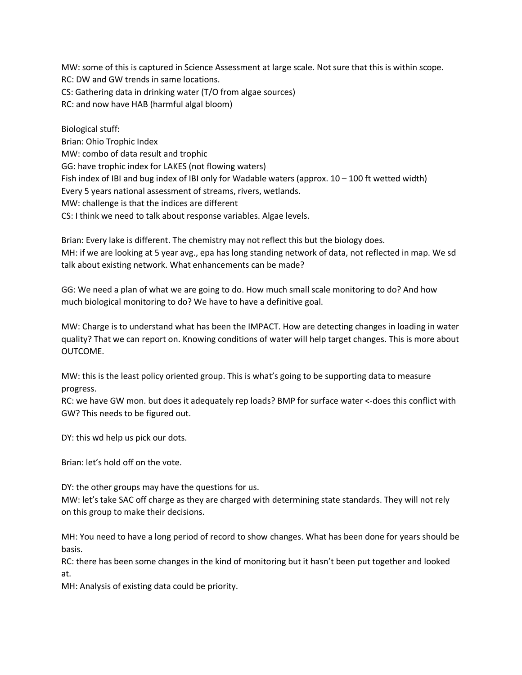MW: some of this is captured in Science Assessment at large scale. Not sure that this is within scope. RC: DW and GW trends in same locations. CS: Gathering data in drinking water (T/O from algae sources) RC: and now have HAB (harmful algal bloom)

Biological stuff: Brian: Ohio Trophic Index MW: combo of data result and trophic GG: have trophic index for LAKES (not flowing waters) Fish index of IBI and bug index of IBI only for Wadable waters (approx. 10 – 100 ft wetted width) Every 5 years national assessment of streams, rivers, wetlands. MW: challenge is that the indices are different CS: I think we need to talk about response variables. Algae levels.

Brian: Every lake is different. The chemistry may not reflect this but the biology does. MH: if we are looking at 5 year avg., epa has long standing network of data, not reflected in map. We sd talk about existing network. What enhancements can be made?

GG: We need a plan of what we are going to do. How much small scale monitoring to do? And how much biological monitoring to do? We have to have a definitive goal.

MW: Charge is to understand what has been the IMPACT. How are detecting changes in loading in water quality? That we can report on. Knowing conditions of water will help target changes. This is more about OUTCOME.

MW: this is the least policy oriented group. This is what's going to be supporting data to measure progress.

RC: we have GW mon. but does it adequately rep loads? BMP for surface water <-does this conflict with GW? This needs to be figured out.

DY: this wd help us pick our dots.

Brian: let's hold off on the vote.

DY: the other groups may have the questions for us.

MW: let's take SAC off charge as they are charged with determining state standards. They will not rely on this group to make their decisions.

MH: You need to have a long period of record to show changes. What has been done for years should be basis.

RC: there has been some changes in the kind of monitoring but it hasn't been put together and looked at.

MH: Analysis of existing data could be priority.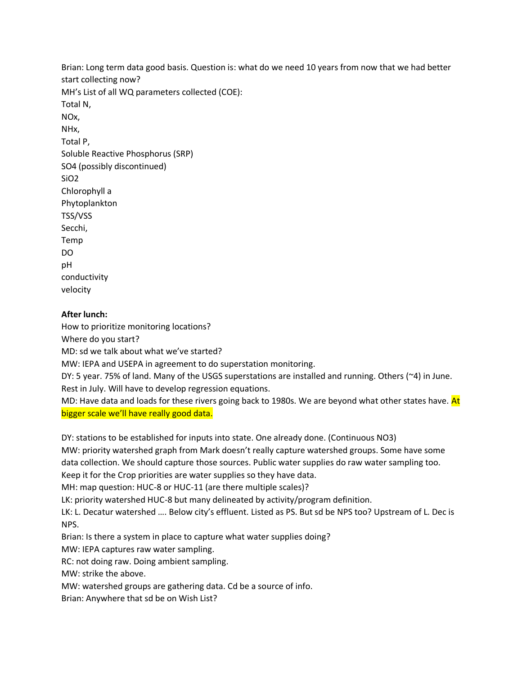Brian: Long term data good basis. Question is: what do we need 10 years from now that we had better start collecting now? MH's List of all WQ parameters collected (COE): Total N, NOx, NHx, Total P, Soluble Reactive Phosphorus (SRP) SO4 (possibly discontinued) SiO2 Chlorophyll a Phytoplankton TSS/VSS Secchi, Temp DO pH conductivity velocity

# **After lunch:**

How to prioritize monitoring locations?

Where do you start?

MD: sd we talk about what we've started?

MW: IEPA and USEPA in agreement to do superstation monitoring.

DY: 5 year. 75% of land. Many of the USGS superstations are installed and running. Others (~4) in June. Rest in July. Will have to develop regression equations.

MD: Have data and loads for these rivers going back to 1980s. We are beyond what other states have. At bigger scale we'll have really good data.

DY: stations to be established for inputs into state. One already done. (Continuous NO3)

MW: priority watershed graph from Mark doesn't really capture watershed groups. Some have some data collection. We should capture those sources. Public water supplies do raw water sampling too. Keep it for the Crop priorities are water supplies so they have data.

MH: map question: HUC-8 or HUC-11 (are there multiple scales)?

LK: priority watershed HUC-8 but many delineated by activity/program definition.

LK: L. Decatur watershed …. Below city's effluent. Listed as PS. But sd be NPS too? Upstream of L. Dec is NPS.

Brian: Is there a system in place to capture what water supplies doing?

MW: IEPA captures raw water sampling.

RC: not doing raw. Doing ambient sampling.

MW: strike the above.

MW: watershed groups are gathering data. Cd be a source of info.

Brian: Anywhere that sd be on Wish List?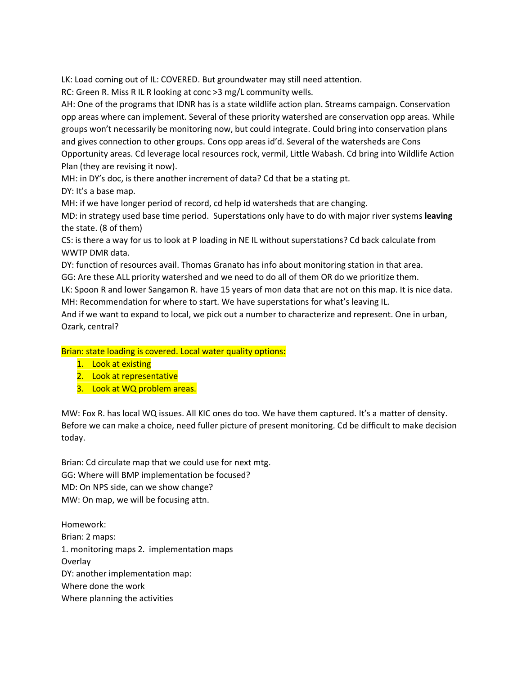LK: Load coming out of IL: COVERED. But groundwater may still need attention.

RC: Green R. Miss R IL R looking at conc >3 mg/L community wells.

AH: One of the programs that IDNR has is a state wildlife action plan. Streams campaign. Conservation opp areas where can implement. Several of these priority watershed are conservation opp areas. While groups won't necessarily be monitoring now, but could integrate. Could bring into conservation plans and gives connection to other groups. Cons opp areas id'd. Several of the watersheds are Cons Opportunity areas. Cd leverage local resources rock, vermil, Little Wabash. Cd bring into Wildlife Action Plan (they are revising it now).

MH: in DY's doc, is there another increment of data? Cd that be a stating pt. DY: It's a base map.

MH: if we have longer period of record, cd help id watersheds that are changing.

MD: in strategy used base time period. Superstations only have to do with major river systems **leaving** the state. (8 of them)

CS: is there a way for us to look at P loading in NE IL without superstations? Cd back calculate from WWTP DMR data.

DY: function of resources avail. Thomas Granato has info about monitoring station in that area. GG: Are these ALL priority watershed and we need to do all of them OR do we prioritize them.

LK: Spoon R and lower Sangamon R. have 15 years of mon data that are not on this map. It is nice data. MH: Recommendation for where to start. We have superstations for what's leaving IL.

And if we want to expand to local, we pick out a number to characterize and represent. One in urban, Ozark, central?

Brian: state loading is covered. Local water quality options:

- 1. Look at existing
- 2. Look at representative
- 3. Look at WQ problem areas.

MW: Fox R. has local WQ issues. All KIC ones do too. We have them captured. It's a matter of density. Before we can make a choice, need fuller picture of present monitoring. Cd be difficult to make decision today.

Brian: Cd circulate map that we could use for next mtg. GG: Where will BMP implementation be focused? MD: On NPS side, can we show change? MW: On map, we will be focusing attn.

Homework: Brian: 2 maps: 1. monitoring maps 2. implementation maps **Overlay** DY: another implementation map: Where done the work Where planning the activities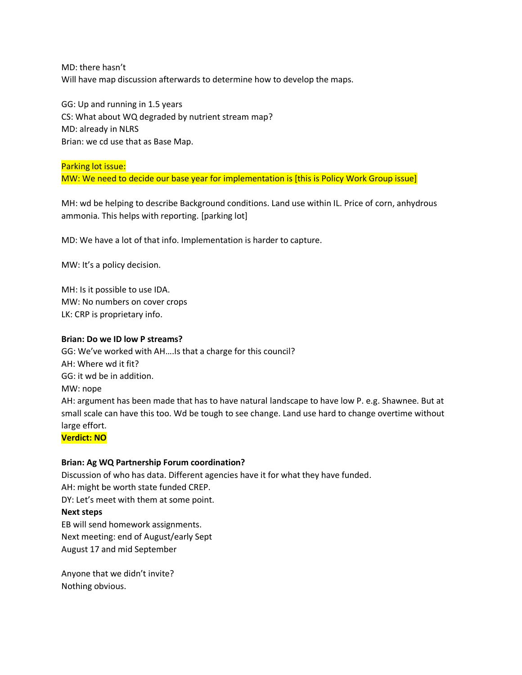MD: there hasn't Will have map discussion afterwards to determine how to develop the maps.

GG: Up and running in 1.5 years CS: What about WQ degraded by nutrient stream map? MD: already in NLRS Brian: we cd use that as Base Map.

#### Parking lot issue:

MW: We need to decide our base year for implementation is [this is Policy Work Group issue]

MH: wd be helping to describe Background conditions. Land use within IL. Price of corn, anhydrous ammonia. This helps with reporting. [parking lot]

MD: We have a lot of that info. Implementation is harder to capture.

MW: It's a policy decision.

MH: Is it possible to use IDA. MW: No numbers on cover crops LK: CRP is proprietary info.

#### **Brian: Do we ID low P streams?**

GG: We've worked with AH….Is that a charge for this council? AH: Where wd it fit? GG: it wd be in addition. MW: nope AH: argument has been made that has to have natural landscape to have low P. e.g. Shawnee. But at small scale can have this too. Wd be tough to see change. Land use hard to change overtime without large effort.

# **Verdict: NO**

#### **Brian: Ag WQ Partnership Forum coordination?**

Discussion of who has data. Different agencies have it for what they have funded. AH: might be worth state funded CREP. DY: Let's meet with them at some point.

#### **Next steps**

EB will send homework assignments. Next meeting: end of August/early Sept August 17 and mid September

Anyone that we didn't invite? Nothing obvious.